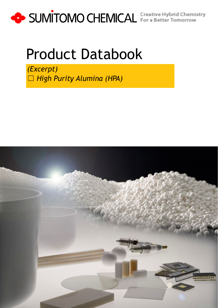

# Product Databook

*(Excerpt)* ☐ *High Purity Alumina (HPA)*

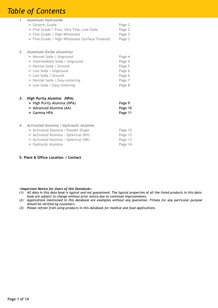# *Table of Contents*

|    | 1. Aluminum Hydroxide<br>$\triangleright$ Generic Grade<br>> Fine Grade / Fine, Very Fine, Low-Soda<br>$\triangleright$ Fine Grade / High-Whiteness<br>$\triangleright$ Fine Grade / High-Whiteness (Surface Treated)                                                                                                       | Page 2<br>Page 2<br>Page 3<br>Page 3                               |
|----|-----------------------------------------------------------------------------------------------------------------------------------------------------------------------------------------------------------------------------------------------------------------------------------------------------------------------------|--------------------------------------------------------------------|
| 2. | Aluminum Oxide (Alumina)<br>> Normal Soda / Unground<br>$\triangleright$ Intermediate Soda / Unground<br>$\triangleright$ Normal Soda / Ground<br>$\triangleright$ Low Soda / Unground<br>$\triangleright$ Low Soda / Ground<br>$\triangleright$ Normal Soda / Easy-sintering<br>$\triangleright$ Low Soda / Easy-sintering | Page 4<br>Page 4<br>Page 5<br>Page 6<br>Page 6<br>Page 7<br>Page 8 |
| 3. | <b>High Purity Alumina (HPA)</b><br>> High Purity Alumina (HPA)<br>$\triangleright$ Advanced Alumina (AA)<br>$\triangleright$ Gamma HPA                                                                                                                                                                                     | Page 9<br>Page 10<br>Page 11                                       |
| 4. | <b>Activated Alumina / Hydraulic Alumina</b><br>$\triangleright$ Activated Alumina : Powder Shape<br>$\triangleright$ Activated Alumina : Spherical (KH)<br>$\triangleright$ Activated Alumina : Spherical (NK)<br>$\triangleright$ Hydraulic Alumina                                                                       | Page 12<br>Page 13<br>Page 13<br>Page 14                           |

#### **5. Plant & Office Location / Contact**

#### *<Important Notice for Users of this Databook>*

- *(1) All data in this data book is typical and not guaranteed. The typical properties of all the listed products in this databook are subject to change without prior notice due to continual improvements.*
- *(2) Applications mentioned in this databook are examples without any guarantee. Fitness for any particular purpose should be verified by customers.*
- *(3) Please refrain from using products in this databook for medical and food applications.*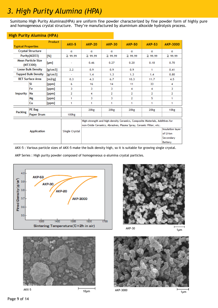## *3. High Purity Alumina (HPA)*

Sumitomo High Purity Aluminas(HPA) are uniform fine powder characterized by fine powder form of highly pure and homogeneous crystal structure. They're manufactured by aluminium alkoxide hydrolysis process.

| <b>Typical Properties</b>             |                           | <b>Product</b> | $AKX-5$           | <b>AKP-20</b>                                                                                                                                    | <b>AKP-30</b>                                                       | <b>AKP-50</b>    | <b>AKP-53</b>    | <b>AKP-3000</b>  |
|---------------------------------------|---------------------------|----------------|-------------------|--------------------------------------------------------------------------------------------------------------------------------------------------|---------------------------------------------------------------------|------------------|------------------|------------------|
| <b>Crystal Structure</b>              |                           |                | α                 | α                                                                                                                                                | α                                                                   | α                | α                | α                |
|                                       | Purity (Al2O3)            | [%]            | $\geq 99.99$      | ≧ 99.99                                                                                                                                          | $\geq 99.99$                                                        | $\geq 99.99$     | $\geq 99.99$     | $\geq 99.99$     |
| <b>Mean Particle Size</b><br>(MT3300) |                           | [µm]           |                   | 0.46                                                                                                                                             | 0.27                                                                | 0.20             | 0.18             | 0.70             |
|                                       | <b>Loose Bulk Density</b> | [g/cm3]        | 2.2               | 0.9                                                                                                                                              | 0.9                                                                 | 0.9              | 1                | 0.41             |
| <b>Tapped Bulk Density</b>            |                           | [g/cm3]        | ٠                 | 1.4                                                                                                                                              | 1.3                                                                 | 1.3              | 1.4              | 0.80             |
| <b>BET Surface Area</b>               |                           | [m2/g]         | 0.3               | 4.3                                                                                                                                              | 6.7                                                                 | 10.3             | 11.7             | 4.5              |
|                                       | Si                        | [ppm]          | 6                 | 16                                                                                                                                               | 14                                                                  | 11               | 33               | 4                |
|                                       | Fe                        | [ppm]          | 3                 | 3                                                                                                                                                | 3                                                                   | 4                | 4                | 3                |
| <b>Impurity</b>                       | Na                        | [ppm]          | 2                 | 4                                                                                                                                                | $\overline{2}$                                                      | 2                | 2                | $\overline{2}$   |
|                                       | Mg                        | [ppm]          | 1                 | 3                                                                                                                                                | 3                                                                   | 2                | 5                | 1                |
|                                       | Cu                        | [ppm]          | 1                 | 1                                                                                                                                                | 1                                                                   | 1                | 1                | 1                |
|                                       | <b>PE</b> Bag             |                |                   | 20 <sub>kg</sub>                                                                                                                                 | 20 <sub>kg</sub>                                                    | 20 <sub>kg</sub> | 20 <sub>kg</sub> | 10 <sub>kg</sub> |
| <b>Packing</b>                        | <b>Paper Drum</b>         |                | 100 <sub>kg</sub> |                                                                                                                                                  |                                                                     |                  |                  |                  |
| <b>Application</b>                    |                           |                |                   | High-strength and high-density Ceramics, Composite Materials, Additives for<br>non-Oxide Ceramics, Abrasives, Plasma Spray, Ceramic Filter, etc. |                                                                     |                  |                  |                  |
|                                       |                           |                | Single Crystal    |                                                                                                                                                  | <b>Insulation layer</b><br>of Li-ion<br>Secondary<br><b>Battery</b> |                  |                  |                  |

#### **High Purity Alumina (HPA)**

AKX-5 : Various particle sizes of AKX-5 make the bulk density high, so it is suitable for growing single crystal.

AKP Series : High purity powder composed of homogeneous α-alumina crystal particles.







AKX-5

10μm

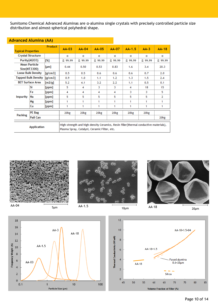Sumitomo Chemical Advanced Aluminas are α-alumina single crystals with precisely controlled particle size distribution and almost-spherical polyhedral shape.

| <u> Advanced Alumina (AA)</u> |                                      |         |                                                                                                                                       |              |         |              |              |              |                  |
|-------------------------------|--------------------------------------|---------|---------------------------------------------------------------------------------------------------------------------------------------|--------------|---------|--------------|--------------|--------------|------------------|
| <b>Typical Properties</b>     |                                      | Product | $AA-03$                                                                                                                               | <b>AA-04</b> | $AA-05$ | AA-07        | $AA-1.5$     | $AA-3$       | <b>AA-18</b>     |
|                               | <b>Crystal Structure</b>             |         | α                                                                                                                                     | α            | α       | α            | α            | α            | α                |
|                               | Purity(Al2O3)                        | [%]     | ≧ 99.99                                                                                                                               | $\geq 99.99$ | ≥ 99.99 | $\geq 99.99$ | $\geq 99.99$ | $\geq 99.99$ | $\geq$ 99.99     |
|                               | <b>Mean Particle</b><br>Size(MT3300) | [µm]    | 0.44                                                                                                                                  | 0.50         | 0.53    | 0.83         | 1.6          | 3.4          | 20.3             |
|                               | <b>Loose Bulk Density</b>            | [g/cm3] | 0.5                                                                                                                                   | 0.5          | 0.6     | 0.6          | 0.6          | 0.7          | 2.0              |
|                               | <b>Tapped Bulk Density</b>           | [g/cm3] | 0.9                                                                                                                                   | 1.0          | 1.1     | 1.2          | 1.3          | 1.5          | 2.4              |
|                               | <b>BET Surface Area</b>              | [m2/g]  | 5.2                                                                                                                                   | 4.1          | 3.2     | 2.2          | 1.1          | 0.5          | 0.1              |
|                               | Si                                   | [ppm]   | 5                                                                                                                                     | 4            | 3       | 3            | 4            | 18           | 15               |
|                               | Fe                                   | [ppm]   | 4                                                                                                                                     | 4            | 4       | 4            | 3            | 3            | 5                |
| <b>Impurity</b>               | Na                                   | [ppm]   | 5                                                                                                                                     | 5            | 5       | 5            | 5            | 5            | $\overline{2}$   |
|                               | Mg                                   | [ppm]   | 1                                                                                                                                     | 1            | 1       | 1            | 1.           | 1            | 1                |
|                               | Сu                                   | [ppm]   | 1                                                                                                                                     | 1            | 1       | 1            | 1            | 1            | 1                |
|                               | PE Bag                               |         | 20kg                                                                                                                                  | 20kg         | 20kg    | 20kg         | 20kg         | 20kg         |                  |
| <b>Packing</b>                | Pail Can                             |         |                                                                                                                                       |              |         |              |              |              | 20 <sub>kg</sub> |
|                               | <b>Application</b>                   |         | High-strength and high-density Ceramics, Resin filler (thermal conductive materials),<br>Plasma Spray, Catalyst, Ceramic Filter, etc. |              |         |              |              |              |                  |









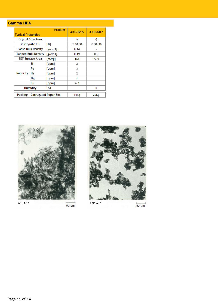### **Gamma HPA**

| <b>Typical Properties</b>              |                            | <b>AKP-G15</b> | AKP-G07  |                  |
|----------------------------------------|----------------------------|----------------|----------|------------------|
|                                        | <b>Crystal Structure</b>   |                | ٧        | θ                |
|                                        | Purity(Al2O3)              | [%]            | ≧ 99.99  | $≥$ 99.99        |
|                                        | <b>Loose Bulk Density</b>  | [g/cm3]        | 0.14     |                  |
|                                        | <b>Tapped Bulk Density</b> | [g/cm3]        | 0.19     | 0.3              |
|                                        | <b>BET Surface Area</b>    | [m2/g]         | 164      | 72.9             |
|                                        | Si                         | [ppm]          | 2        |                  |
|                                        | Fe                         | [ppm]          | 3        |                  |
| <b>Impurity</b>                        | Na                         | [ppm]          | 2        |                  |
|                                        | Mg                         | [ppm]          | 1        |                  |
|                                        | Сu                         | [ppm]          | $\leq 1$ |                  |
|                                        | <b>Humidity</b>            | [%]            |          | o                |
| Packing<br><b>Corrugated Paper Box</b> |                            |                | 10Kg     | 20 <sub>Kg</sub> |





 $\overrightarrow{0.1 \mu m}$